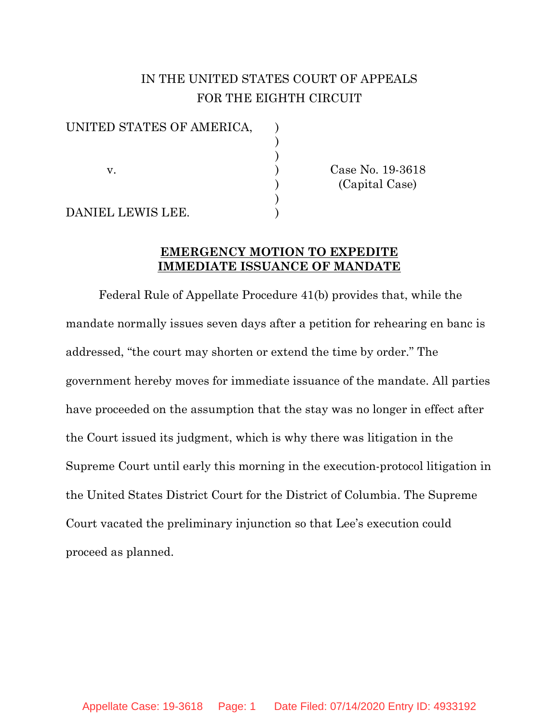## IN THE UNITED STATES COURT OF APPEALS FOR THE EIGHTH CIRCUIT

| UNITED STATES OF AMERICA, |  |
|---------------------------|--|
|                           |  |
|                           |  |
| V.                        |  |
|                           |  |
|                           |  |
| DANIEL LEWIS LEE.         |  |

(ase No. 19-3618) ) (Capital Case)

## **EMERGENCY MOTION TO EXPEDITE IMMEDIATE ISSUANCE OF MANDATE**

Federal Rule of Appellate Procedure 41(b) provides that, while the mandate normally issues seven days after a petition for rehearing en banc is addressed, "the court may shorten or extend the time by order." The government hereby moves for immediate issuance of the mandate. All parties have proceeded on the assumption that the stay was no longer in effect after the Court issued its judgment, which is why there was litigation in the Supreme Court until early this morning in the execution-protocol litigation in the United States District Court for the District of Columbia. The Supreme Court vacated the preliminary injunction so that Lee's execution could proceed as planned.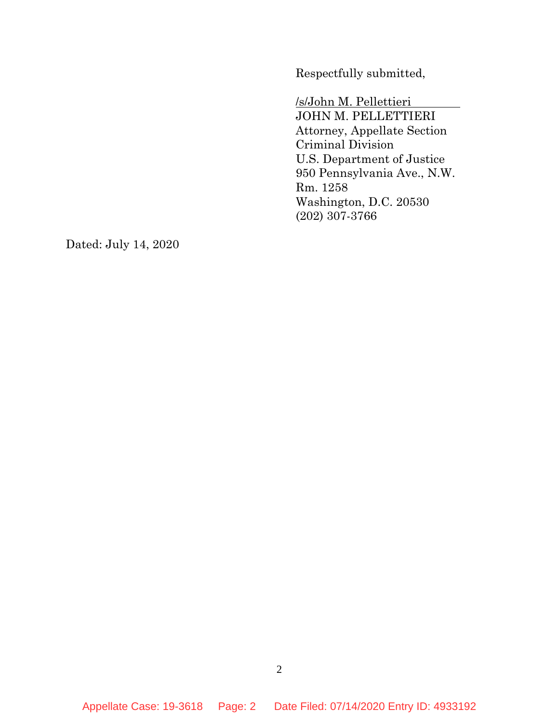Respectfully submitted,

/s/John M. Pellettieri JOHN M. PELLETTIERI Attorney, Appellate Section Criminal Division U.S. Department of Justice 950 Pennsylvania Ave., N.W. Rm. 1258 Washington, D.C. 20530 (202) 307-3766

Dated: July 14, 2020